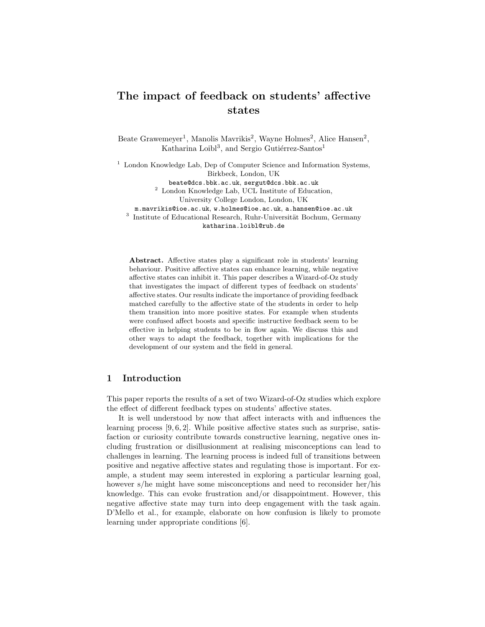# The impact of feedback on students' affective states

Beate Grawemeyer<sup>1</sup>, Manolis Mavrikis<sup>2</sup>, Wayne Holmes<sup>2</sup>, Alice Hansen<sup>2</sup>, Katharina Loibl<sup>3</sup>, and Sergio Gutiérrez-Santos<sup>1</sup>

 $1$  London Knowledge Lab, Dep of Computer Science and Information Systems, Birkbeck, London, UK beate@dcs.bbk.ac.uk, sergut@dcs.bbk.ac.uk

<sup>2</sup> London Knowledge Lab, UCL Institute of Education,

University College London, London, UK

m.mavrikis@ioe.ac.uk, w.holmes@ioe.ac.uk, a.hansen@ioe.ac.uk

<sup>3</sup> Institute of Educational Research, Ruhr-Universität Bochum, Germany katharina.loibl@rub.de

Abstract. Affective states play a significant role in students' learning behaviour. Positive affective states can enhance learning, while negative affective states can inhibit it. This paper describes a Wizard-of-Oz study that investigates the impact of different types of feedback on students' affective states. Our results indicate the importance of providing feedback matched carefully to the affective state of the students in order to help them transition into more positive states. For example when students were confused affect boosts and specific instructive feedback seem to be effective in helping students to be in flow again. We discuss this and other ways to adapt the feedback, together with implications for the development of our system and the field in general.

# 1 Introduction

This paper reports the results of a set of two Wizard-of-Oz studies which explore the effect of different feedback types on students' affective states.

It is well understood by now that affect interacts with and influences the learning process [9, 6, 2]. While positive affective states such as surprise, satisfaction or curiosity contribute towards constructive learning, negative ones including frustration or disillusionment at realising misconceptions can lead to challenges in learning. The learning process is indeed full of transitions between positive and negative affective states and regulating those is important. For example, a student may seem interested in exploring a particular learning goal, however s/he might have some misconceptions and need to reconsider her/his knowledge. This can evoke frustration and/or disappointment. However, this negative affective state may turn into deep engagement with the task again. D'Mello et al., for example, elaborate on how confusion is likely to promote learning under appropriate conditions [6].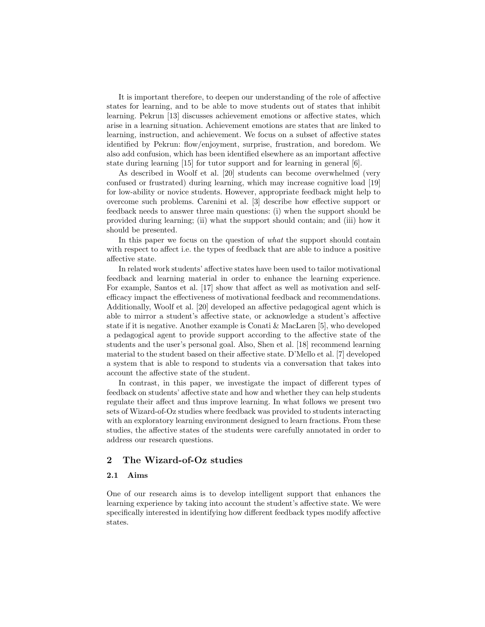It is important therefore, to deepen our understanding of the role of affective states for learning, and to be able to move students out of states that inhibit learning. Pekrun [13] discusses achievement emotions or affective states, which arise in a learning situation. Achievement emotions are states that are linked to learning, instruction, and achievement. We focus on a subset of affective states identified by Pekrun: flow/enjoyment, surprise, frustration, and boredom. We also add confusion, which has been identified elsewhere as an important affective state during learning [15] for tutor support and for learning in general [6].

As described in Woolf et al. [20] students can become overwhelmed (very confused or frustrated) during learning, which may increase cognitive load [19] for low-ability or novice students. However, appropriate feedback might help to overcome such problems. Carenini et al. [3] describe how effective support or feedback needs to answer three main questions: (i) when the support should be provided during learning; (ii) what the support should contain; and (iii) how it should be presented.

In this paper we focus on the question of what the support should contain with respect to affect i.e. the types of feedback that are able to induce a positive affective state.

In related work students' affective states have been used to tailor motivational feedback and learning material in order to enhance the learning experience. For example, Santos et al. [17] show that affect as well as motivation and selfefficacy impact the effectiveness of motivational feedback and recommendations. Additionally, Woolf et al. [20] developed an affective pedagogical agent which is able to mirror a student's affective state, or acknowledge a student's affective state if it is negative. Another example is Conati & MacLaren [5], who developed a pedagogical agent to provide support according to the affective state of the students and the user's personal goal. Also, Shen et al. [18] recommend learning material to the student based on their affective state. D'Mello et al. [7] developed a system that is able to respond to students via a conversation that takes into account the affective state of the student.

In contrast, in this paper, we investigate the impact of different types of feedback on students' affective state and how and whether they can help students regulate their affect and thus improve learning. In what follows we present two sets of Wizard-of-Oz studies where feedback was provided to students interacting with an exploratory learning environment designed to learn fractions. From these studies, the affective states of the students were carefully annotated in order to address our research questions.

# 2 The Wizard-of-Oz studies

## 2.1 Aims

One of our research aims is to develop intelligent support that enhances the learning experience by taking into account the student's affective state. We were specifically interested in identifying how different feedback types modify affective states.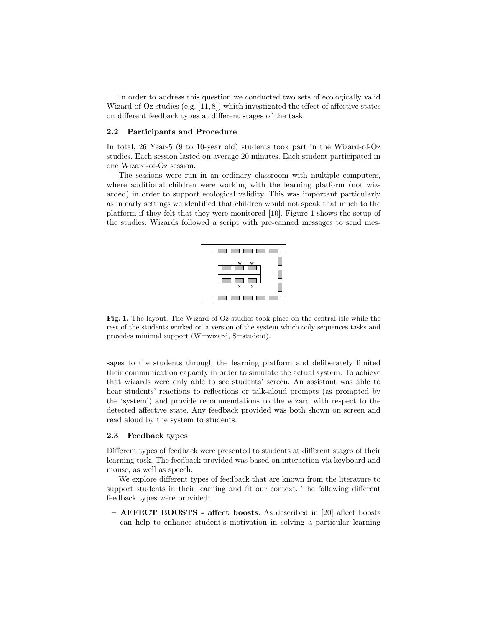In order to address this question we conducted two sets of ecologically valid Wizard-of-Oz studies (e.g.  $[11, 8]$ ) which investigated the effect of affective states on different feedback types at different stages of the task.

#### 2.2 Participants and Procedure

In total, 26 Year-5 (9 to 10-year old) students took part in the Wizard-of-Oz studies. Each session lasted on average 20 minutes. Each student participated in one Wizard-of-Oz session.

The sessions were run in an ordinary classroom with multiple computers, where additional children were working with the learning platform (not wizarded) in order to support ecological validity. This was important particularly as in early settings we identified that children would not speak that much to the platform if they felt that they were monitored [10]. Figure 1 shows the setup of the studies. Wizards followed a script with pre-canned messages to send mes-



Fig. 1. The layout. The Wizard-of-Oz studies took place on the central isle while the rest of the students worked on a version of the system which only sequences tasks and provides minimal support (W=wizard, S=student).

sages to the students through the learning platform and deliberately limited their communication capacity in order to simulate the actual system. To achieve that wizards were only able to see students' screen. An assistant was able to hear students' reactions to reflections or talk-aloud prompts (as prompted by the 'system') and provide recommendations to the wizard with respect to the detected affective state. Any feedback provided was both shown on screen and read aloud by the system to students.

#### 2.3 Feedback types

Different types of feedback were presented to students at different stages of their learning task. The feedback provided was based on interaction via keyboard and mouse, as well as speech.

We explore different types of feedback that are known from the literature to support students in their learning and fit our context. The following different feedback types were provided:

– AFFECT BOOSTS - affect boosts. As described in [20] affect boosts can help to enhance student's motivation in solving a particular learning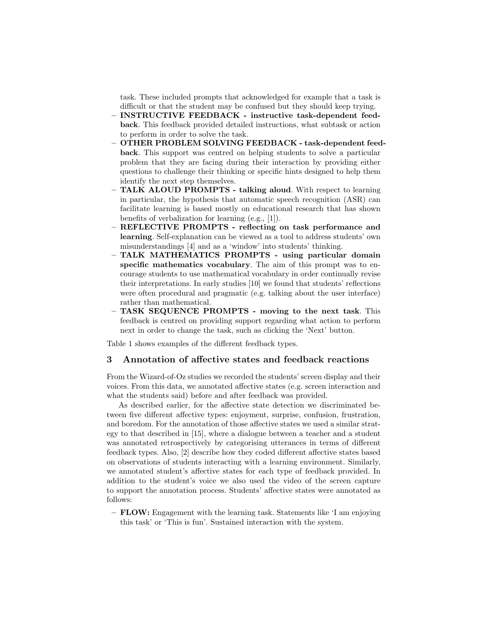task. These included prompts that acknowledged for example that a task is difficult or that the student may be confused but they should keep trying.

- INSTRUCTIVE FEEDBACK instructive task-dependent feedback. This feedback provided detailed instructions, what subtask or action to perform in order to solve the task.
- OTHER PROBLEM SOLVING FEEDBACK task-dependent feedback. This support was centred on helping students to solve a particular problem that they are facing during their interaction by providing either questions to challenge their thinking or specific hints designed to help them identify the next step themselves.
- TALK ALOUD PROMPTS talking aloud. With respect to learning in particular, the hypothesis that automatic speech recognition (ASR) can facilitate learning is based mostly on educational research that has shown benefits of verbalization for learning (e.g., [1]).
- REFLECTIVE PROMPTS reflecting on task performance and learning. Self-explanation can be viewed as a tool to address students' own misunderstandings [4] and as a 'window' into students' thinking.
- TALK MATHEMATICS PROMPTS using particular domain specific mathematics vocabulary. The aim of this prompt was to encourage students to use mathematical vocabulary in order continually revise their interpretations. In early studies [10] we found that students' reflections were often procedural and pragmatic (e.g. talking about the user interface) rather than mathematical.
- TASK SEQUENCE PROMPTS moving to the next task. This feedback is centred on providing support regarding what action to perform next in order to change the task, such as clicking the 'Next' button.

Table 1 shows examples of the different feedback types.

#### 3 Annotation of affective states and feedback reactions

From the Wizard-of-Oz studies we recorded the students' screen display and their voices. From this data, we annotated affective states (e.g. screen interaction and what the students said) before and after feedback was provided.

As described earlier, for the affective state detection we discriminated between five different affective types: enjoyment, surprise, confusion, frustration, and boredom. For the annotation of those affective states we used a similar strategy to that described in [15], where a dialogue between a teacher and a student was annotated retrospectively by categorising utterances in terms of different feedback types. Also, [2] describe how they coded different affective states based on observations of students interacting with a learning environment. Similarly, we annotated student's affective states for each type of feedback provided. In addition to the student's voice we also used the video of the screen capture to support the annotation process. Students' affective states were annotated as follows:

– FLOW: Engagement with the learning task. Statements like 'I am enjoying this task' or 'This is fun'. Sustained interaction with the system.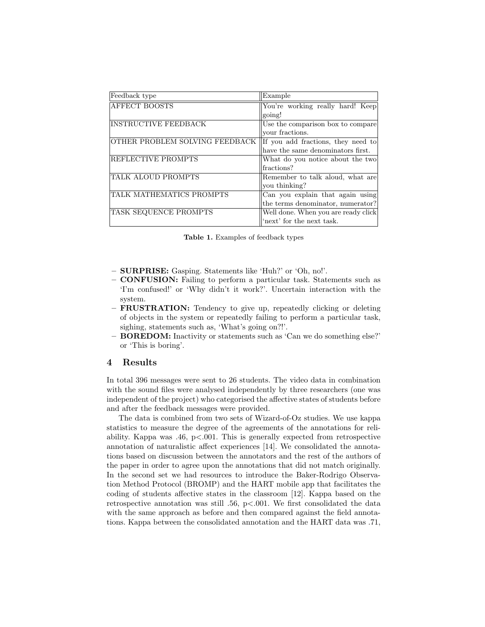| Feedback type                  | Example                             |
|--------------------------------|-------------------------------------|
|                                |                                     |
| <b>AFFECT BOOSTS</b>           | You're working really hard! Keep    |
|                                | going!                              |
| <b>INSTRUCTIVE FEEDBACK</b>    | Use the comparison box to compare   |
|                                | vour fractions.                     |
| OTHER PROBLEM SOLVING FEEDBACK | If you add fractions, they need to  |
|                                | have the same denominators first.   |
| REFLECTIVE PROMPTS             | What do you notice about the two    |
|                                | fractions?                          |
| TALK ALOUD PROMPTS             | Remember to talk aloud, what are    |
|                                | vou thinking?                       |
| TALK MATHEMATICS PROMPTS       | Can you explain that again using    |
|                                | the terms denominator, numerator?   |
| TASK SEQUENCE PROMPTS          | Well done. When you are ready click |
|                                | "next" for the next task.           |

Table 1. Examples of feedback types

- SURPRISE: Gasping. Statements like 'Huh?' or 'Oh, no!'.
- CONFUSION: Failing to perform a particular task. Statements such as 'I'm confused!' or 'Why didn't it work?'. Uncertain interaction with the system.
- FRUSTRATION: Tendency to give up, repeatedly clicking or deleting of objects in the system or repeatedly failing to perform a particular task, sighing, statements such as, 'What's going on?!'.
- BOREDOM: Inactivity or statements such as 'Can we do something else?' or 'This is boring'.

#### 4 Results

In total 396 messages were sent to 26 students. The video data in combination with the sound files were analysed independently by three researchers (one was independent of the project) who categorised the affective states of students before and after the feedback messages were provided.

The data is combined from two sets of Wizard-of-Oz studies. We use kappa statistics to measure the degree of the agreements of the annotations for reliability. Kappa was .46,  $p\leq 0.001$ . This is generally expected from retrospective annotation of naturalistic affect experiences [14]. We consolidated the annotations based on discussion between the annotators and the rest of the authors of the paper in order to agree upon the annotations that did not match originally. In the second set we had resources to introduce the Baker-Rodrigo Observation Method Protocol (BROMP) and the HART mobile app that facilitates the coding of students affective states in the classroom [12]. Kappa based on the retrospective annotation was still .56, p<.001. We first consolidated the data with the same approach as before and then compared against the field annotations. Kappa between the consolidated annotation and the HART data was .71,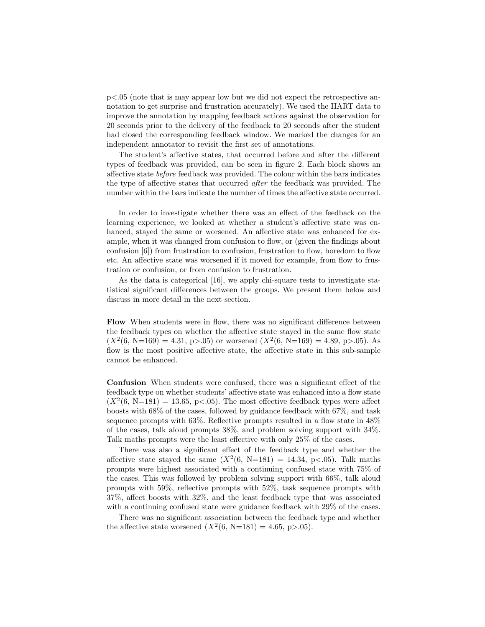p<.05 (note that is may appear low but we did not expect the retrospective annotation to get surprise and frustration accurately). We used the HART data to improve the annotation by mapping feedback actions against the observation for 20 seconds prior to the delivery of the feedback to 20 seconds after the student had closed the corresponding feedback window. We marked the changes for an independent annotator to revisit the first set of annotations.

The student's affective states, that occurred before and after the different types of feedback was provided, can be seen in figure 2. Each block shows an affective state before feedback was provided. The colour within the bars indicates the type of affective states that occurred after the feedback was provided. The number within the bars indicate the number of times the affective state occurred.

In order to investigate whether there was an effect of the feedback on the learning experience, we looked at whether a student's affective state was enhanced, stayed the same or worsened. An affective state was enhanced for example, when it was changed from confusion to flow, or (given the findings about confusion [6]) from frustration to confusion, frustration to flow, boredom to flow etc. An affective state was worsened if it moved for example, from flow to frustration or confusion, or from confusion to frustration.

As the data is categorical [16], we apply chi-square tests to investigate statistical significant differences between the groups. We present them below and discuss in more detail in the next section.

Flow When students were in flow, there was no significant difference between the feedback types on whether the affective state stayed in the same flow state  $(X^2(6, N=169) = 4.31, p > 0.05)$  or worsened  $(X^2(6, N=169) = 4.89, p > 0.05)$ . As flow is the most positive affective state, the affective state in this sub-sample cannot be enhanced.

Confusion When students were confused, there was a significant effect of the feedback type on whether students' affective state was enhanced into a flow state  $(X^2(6, N=181) = 13.65, p<0.05)$ . The most effective feedback types were affect boosts with 68% of the cases, followed by guidance feedback with 67%, and task sequence prompts with 63%. Reflective prompts resulted in a flow state in 48% of the cases, talk aloud prompts 38%, and problem solving support with 34%. Talk maths prompts were the least effective with only 25% of the cases.

There was also a significant effect of the feedback type and whether the affective state stayed the same  $(X^2(6, N=181) = 14.34, p<0.05)$ . Talk maths prompts were highest associated with a continuing confused state with 75% of the cases. This was followed by problem solving support with 66%, talk aloud prompts with 59%, reflective prompts with 52%, task sequence prompts with 37%, affect boosts with 32%, and the least feedback type that was associated with a continuing confused state were guidance feedback with 29% of the cases.

There was no significant association between the feedback type and whether the affective state worsened  $(X^2(6, N=181) = 4.65, p > .05)$ .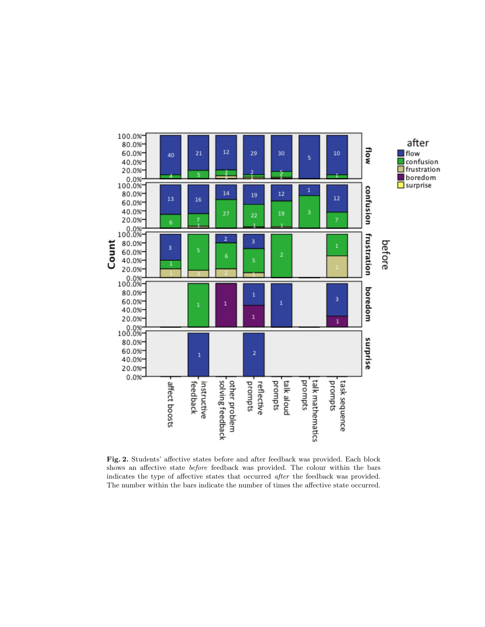

Fig. 2. Students' affective states before and after feedback was provided. Each block shows an affective state before feedback was provided. The colour within the bars indicates the type of affective states that occurred after the feedback was provided. The number within the bars indicate the number of times the affective state occurred.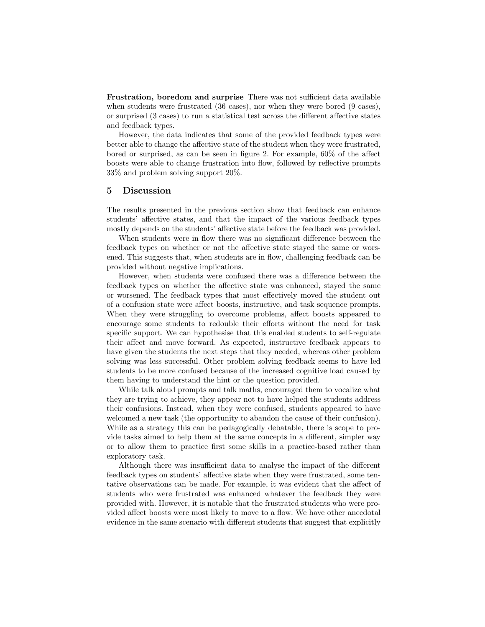Frustration, boredom and surprise There was not sufficient data available when students were frustrated (36 cases), nor when they were bored (9 cases), or surprised (3 cases) to run a statistical test across the different affective states and feedback types.

However, the data indicates that some of the provided feedback types were better able to change the affective state of the student when they were frustrated, bored or surprised, as can be seen in figure 2. For example, 60% of the affect boosts were able to change frustration into flow, followed by reflective prompts 33% and problem solving support 20%.

## 5 Discussion

The results presented in the previous section show that feedback can enhance students' affective states, and that the impact of the various feedback types mostly depends on the students' affective state before the feedback was provided.

When students were in flow there was no significant difference between the feedback types on whether or not the affective state stayed the same or worsened. This suggests that, when students are in flow, challenging feedback can be provided without negative implications.

However, when students were confused there was a difference between the feedback types on whether the affective state was enhanced, stayed the same or worsened. The feedback types that most effectively moved the student out of a confusion state were affect boosts, instructive, and task sequence prompts. When they were struggling to overcome problems, affect boosts appeared to encourage some students to redouble their efforts without the need for task specific support. We can hypothesise that this enabled students to self-regulate their affect and move forward. As expected, instructive feedback appears to have given the students the next steps that they needed, whereas other problem solving was less successful. Other problem solving feedback seems to have led students to be more confused because of the increased cognitive load caused by them having to understand the hint or the question provided.

While talk aloud prompts and talk maths, encouraged them to vocalize what they are trying to achieve, they appear not to have helped the students address their confusions. Instead, when they were confused, students appeared to have welcomed a new task (the opportunity to abandon the cause of their confusion). While as a strategy this can be pedagogically debatable, there is scope to provide tasks aimed to help them at the same concepts in a different, simpler way or to allow them to practice first some skills in a practice-based rather than exploratory task.

Although there was insufficient data to analyse the impact of the different feedback types on students' affective state when they were frustrated, some tentative observations can be made. For example, it was evident that the affect of students who were frustrated was enhanced whatever the feedback they were provided with. However, it is notable that the frustrated students who were provided affect boosts were most likely to move to a flow. We have other anecdotal evidence in the same scenario with different students that suggest that explicitly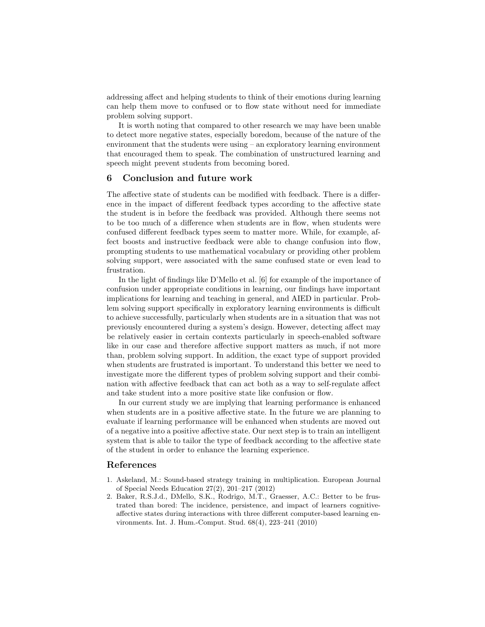addressing affect and helping students to think of their emotions during learning can help them move to confused or to flow state without need for immediate problem solving support.

It is worth noting that compared to other research we may have been unable to detect more negative states, especially boredom, because of the nature of the environment that the students were using – an exploratory learning environment that encouraged them to speak. The combination of unstructured learning and speech might prevent students from becoming bored.

# 6 Conclusion and future work

The affective state of students can be modified with feedback. There is a difference in the impact of different feedback types according to the affective state the student is in before the feedback was provided. Although there seems not to be too much of a difference when students are in flow, when students were confused different feedback types seem to matter more. While, for example, affect boosts and instructive feedback were able to change confusion into flow, prompting students to use mathematical vocabulary or providing other problem solving support, were associated with the same confused state or even lead to frustration.

In the light of findings like D'Mello et al. [6] for example of the importance of confusion under appropriate conditions in learning, our findings have important implications for learning and teaching in general, and AIED in particular. Problem solving support specifically in exploratory learning environments is difficult to achieve successfully, particularly when students are in a situation that was not previously encountered during a system's design. However, detecting affect may be relatively easier in certain contexts particularly in speech-enabled software like in our case and therefore affective support matters as much, if not more than, problem solving support. In addition, the exact type of support provided when students are frustrated is important. To understand this better we need to investigate more the different types of problem solving support and their combination with affective feedback that can act both as a way to self-regulate affect and take student into a more positive state like confusion or flow.

In our current study we are implying that learning performance is enhanced when students are in a positive affective state. In the future we are planning to evaluate if learning performance will be enhanced when students are moved out of a negative into a positive affective state. Our next step is to train an intelligent system that is able to tailor the type of feedback according to the affective state of the student in order to enhance the learning experience.

# References

- 1. Askeland, M.: Sound-based strategy training in multiplication. European Journal of Special Needs Education 27(2), 201–217 (2012)
- 2. Baker, R.S.J.d., DMello, S.K., Rodrigo, M.T., Graesser, A.C.: Better to be frustrated than bored: The incidence, persistence, and impact of learners cognitiveaffective states during interactions with three different computer-based learning environments. Int. J. Hum.-Comput. Stud. 68(4), 223–241 (2010)